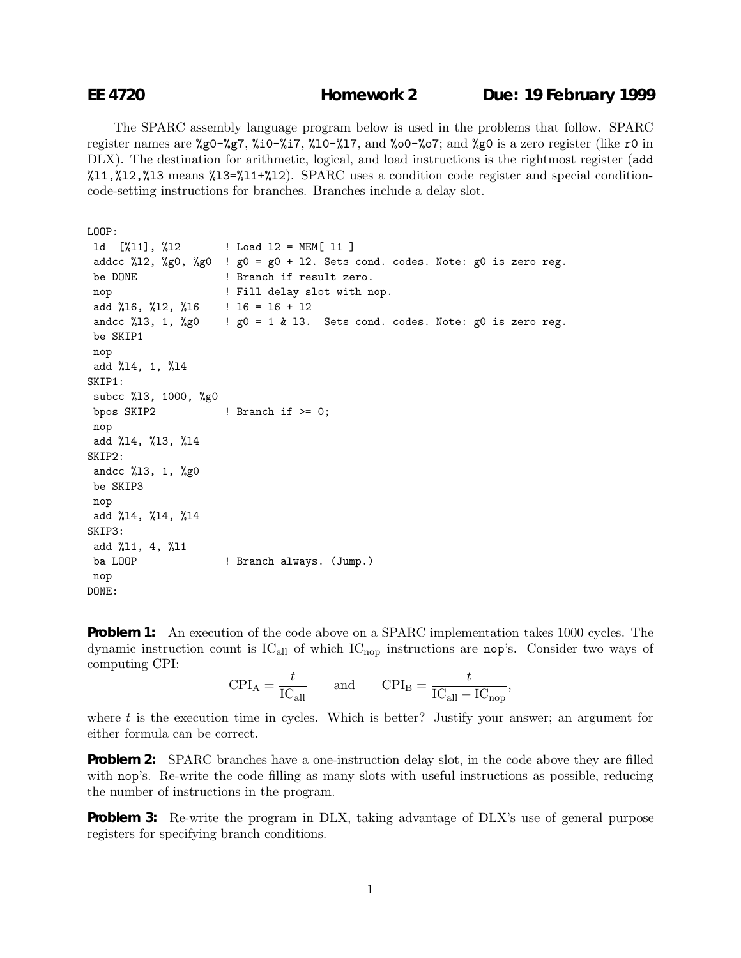The SPARC assembly language program below is used in the problems that follow. SPARC register names are %g0-%g7, %i0-%i7, %l0-%l7, and %o0-%o7; and %g0 is a zero register (like r0 in DLX). The destination for arithmetic, logical, and load instructions is the rightmost register (add  $11,\frac{12}{12},\frac{12}{13}$  means  $13=\frac{11+\frac{12}{12}}{12}$ . SPARC uses a condition code register and special conditioncode-setting instructions for branches. Branches include a delay slot.

```
LOOP:
```

```
ld [%l1], %l2 ! Load l2 = MEM[ l1 ]
addcc %12, %g0, %g0 ! g0 = g0 + 12. Sets cond. codes. Note: g0 is zero reg.
be DONE ! Branch if result zero.
nop \qquad \qquad ! Fill delay slot with nop.
add %16, %12, %16 \; ! 16 = 16 + 12
andcc %13, 1, %g0 ! g0 = 1 & 13. Sets cond. codes. Note: g0 is zero reg.
be SKIP1
nop
add %l4, 1, %l4
SKIP1:
subcc %l3, 1000, %g0
bpos SKIP2 ! Branch if > = 0;
nop
add %l4, %l3, %l4
SKIP2:
andcc %l3, 1, %g0
be SKIP3
nop
add %l4, %l4, %l4
SKIP3:
add %l1, 4, %l1
ba LOOP ! Branch always. (Jump.)
nop
DONE:
```
**Problem 1:** An execution of the code above on a SPARC implementation takes 1000 cycles. The dynamic instruction count is  $IC_{all}$  of which  $IC_{nop}$  instructions are nop's. Consider two ways of computing CPI:

$$
CPI_A = \frac{t}{IC_{\text{all}}} \qquad \text{and} \qquad CPI_B = \frac{t}{IC_{\text{all}} - IC_{\text{nop}}},
$$

where  $t$  is the execution time in cycles. Which is better? Justify your answer; an argument for either formula can be correct.

**Problem 2:** SPARC branches have a one-instruction delay slot, in the code above they are filled with nop's. Re-write the code filling as many slots with useful instructions as possible, reducing the number of instructions in the program.

**Problem 3:** Re-write the program in DLX, taking advantage of DLX's use of general purpose registers for specifying branch conditions.